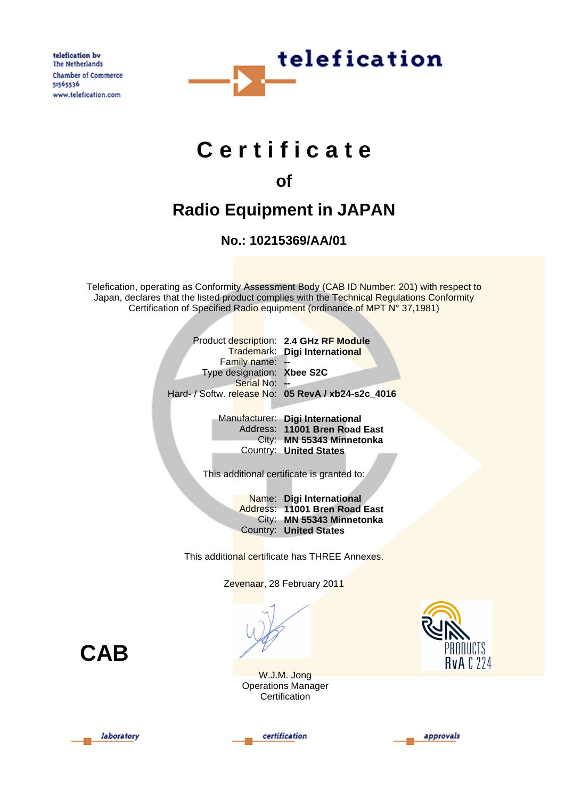telefication by The Netherlands Chamber of Commerce 51565536 www.telefication.com



# **C e r t i f i c a t e**

### **of**

## **Radio Equipment in JAPAN**

**No.: 10215369/AA/01**

Telefication, operating as Conformity Assessment Body (CAB ID Number: 201) with respect to Japan, declares that the listed product complies with the Technical Regulations Conformity Certification of Specified Radio equipment (ordinance of MPT N° 37,1981)

|                            | Product description: 2.4 GHz RF Module             |
|----------------------------|----------------------------------------------------|
|                            | Trademark: Digi International                      |
| Family name: -             |                                                    |
| Type designation: Xbee S2C |                                                    |
| Serial No: -               |                                                    |
|                            | Hard- / Softw. release No: 05 RevA / xb24-s2c 4016 |
|                            |                                                    |

| Manufacturer: Digi International |
|----------------------------------|
| Address: 11001 Bren Road East    |
| City: MN 55343 Minnetonka        |
| Country: United States           |

This additional certificate is granted to:

Name: **Digi International** Address: **11001 Bren Road East** City: **MN 55343 Minnetonka** Country: **United States**

This additional certificate has THREE Annexes.

Zevenaar, 28 February 2011

**CAB**

W.J.M. Jong Operations Manager **Certification** 







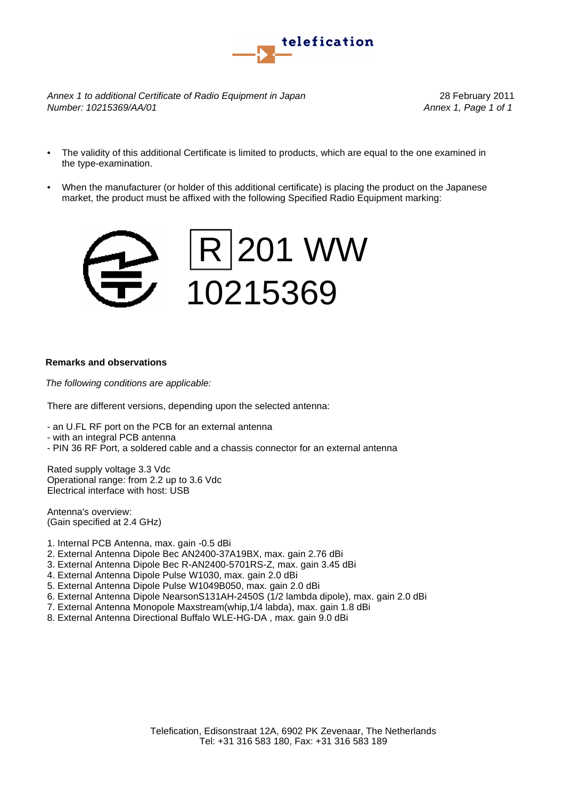

*Annex 1 to additional Certificate of Radio Equipment in Japan* 28 February 2011 *Number: 10215369/AA/01 Annex 1, Page 1 of 1*

- The validity of this additional Certificate is limited to products, which are equal to the one examined in the type-examination.
- When the manufacturer (or holder of this additional certificate) is placing the product on the Japanese market, the product must be affixed with the following Specified Radio Equipment marking:



#### **Remarks and observations**

*The following conditions are applicable:*

There are different versions, depending upon the selected antenna:

- an U.FL RF port on the PCB for an external antenna

- with an integral PCB antenna

- PIN 36 RF Port, a soldered cable and a chassis connector for an external antenna

Rated supply voltage 3.3 Vdc Operational range: from 2.2 up to 3.6 Vdc Electrical interface with host: USB

Antenna's overview: (Gain specified at 2.4 GHz)

- 1. Internal PCB Antenna, max. gain -0.5 dBi
- 2. External Antenna Dipole Bec AN2400-37A19BX, max. gain 2.76 dBi
- 3. External Antenna Dipole Bec R-AN2400-5701RS-Z, max. gain 3.45 dBi
- 4. External Antenna Dipole Pulse W1030, max. gain 2.0 dBi
- 5. External Antenna Dipole Pulse W1049B050, max. gain 2.0 dBi
- 6. External Antenna Dipole NearsonS131AH-2450S (1/2 lambda dipole), max. gain 2.0 dBi
- 7. External Antenna Monopole Maxstream(whip,1/4 labda), max. gain 1.8 dBi
- 8. External Antenna Directional Buffalo WLE-HG-DA , max. gain 9.0 dBi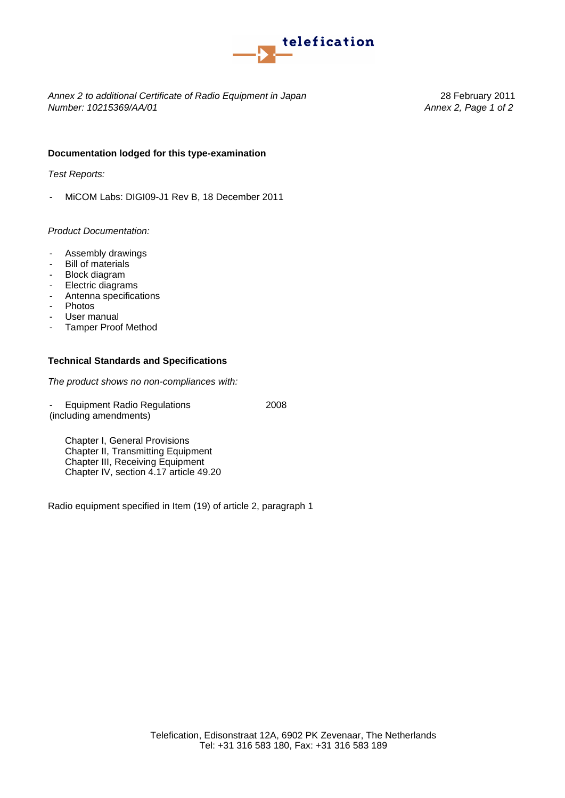

*Annex 2 to additional Certificate of Radio Equipment in Japan* 28 February 2011 *Number: 10215369/AA/01 Annex 2, Page 1 of 2*

#### **Documentation lodged for this type-examination**

*Test Reports:*

- MiCOM Labs: DIGI09-J1 Rev B, 18 December 2011

#### *Product Documentation:*

- Assembly drawings
- Bill of materials
- Block diagram
- Electric diagrams<br>- Antenna specifica
- Antenna specifications<br>- Photos
- Photos
- User manual
- Tamper Proof Method

#### **Technical Standards and Specifications**

*The product shows no non-compliances with:*

(including amendments) Equipment Radio Regulations 2008

Chapter I, General Provisions Chapter II, Transmitting Equipment Chapter III, Receiving Equipment Chapter IV, section 4.17 article 49.20

Radio equipment specified in Item (19) of article 2, paragraph 1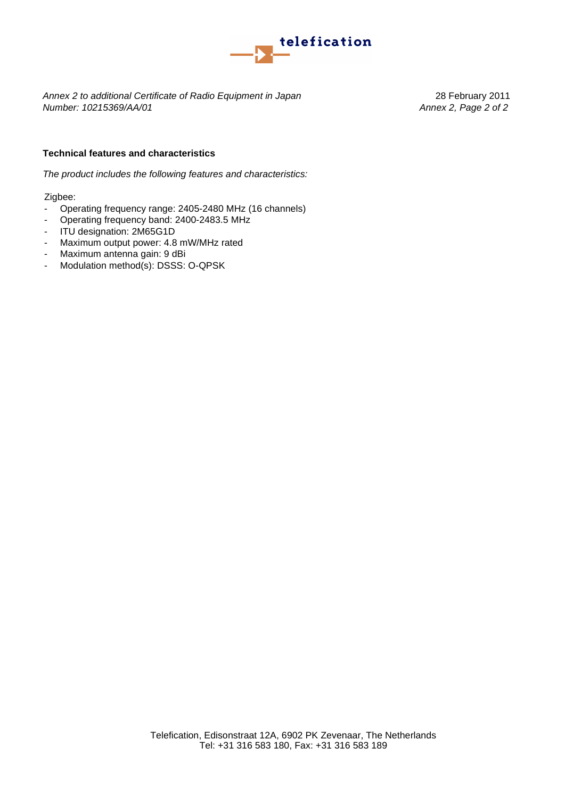

*Annex 2 to additional Certificate of Radio Equipment in Japan* 28 February 2011 *Number: 10215369/AA/01 Annex 2, Page 2 of 2*

#### **Technical features and characteristics**

*The product includes the following features and characteristics:*

Zigbee:

- Operating frequency range: 2405-2480 MHz (16 channels)
- Operating frequency band: 2400-2483.5 MHz
- ITU designation: 2M65G1D
- Maximum output power: 4.8 mW/MHz rated
- Maximum antenna gain: 9 dBi
- Modulation method(s): DSSS: O-QPSK